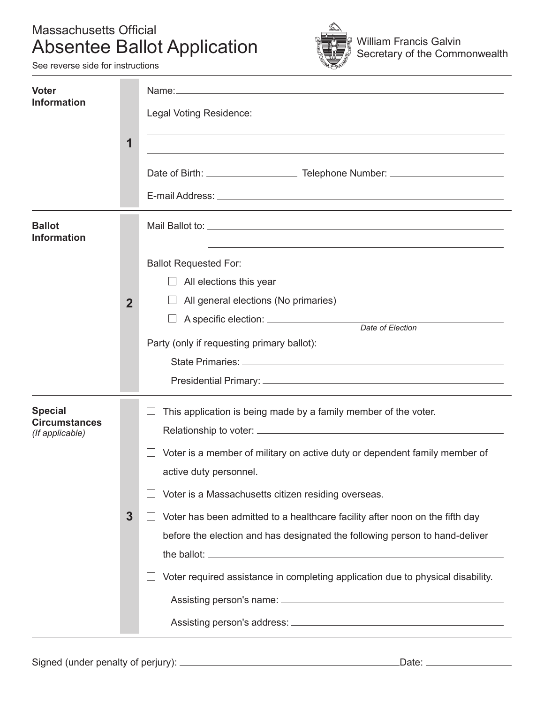#### Massachusetts Official Absentee Ballot Application



See reverse side for instructions

| <b>Voter</b><br><b>Information</b>                        | $\mathbf 1$    | Legal Voting Residence:<br><u> 1989 - Johann Stoff, amerikansk politiker (d. 1989)</u><br>and the control of the control of the control of the control of the control of the control of the control of the                                                                                                                                                                                                                                                                       |
|-----------------------------------------------------------|----------------|----------------------------------------------------------------------------------------------------------------------------------------------------------------------------------------------------------------------------------------------------------------------------------------------------------------------------------------------------------------------------------------------------------------------------------------------------------------------------------|
| <b>Ballot</b><br><b>Information</b>                       | $\overline{2}$ | <b>Ballot Requested For:</b><br>All elections this year<br>$\Box$<br>All general elections (No primaries)<br>Party (only if requesting primary ballot):                                                                                                                                                                                                                                                                                                                          |
| <b>Special</b><br><b>Circumstances</b><br>(If applicable) | $\mathbf{3}$   | This application is being made by a family member of the voter.<br>Voter is a member of military on active duty or dependent family member of<br>active duty personnel.<br>Voter is a Massachusetts citizen residing overseas.<br>Voter has been admitted to a healthcare facility after noon on the fifth day<br>before the election and has designated the following person to hand-deliver<br>Voter required assistance in completing application due to physical disability. |